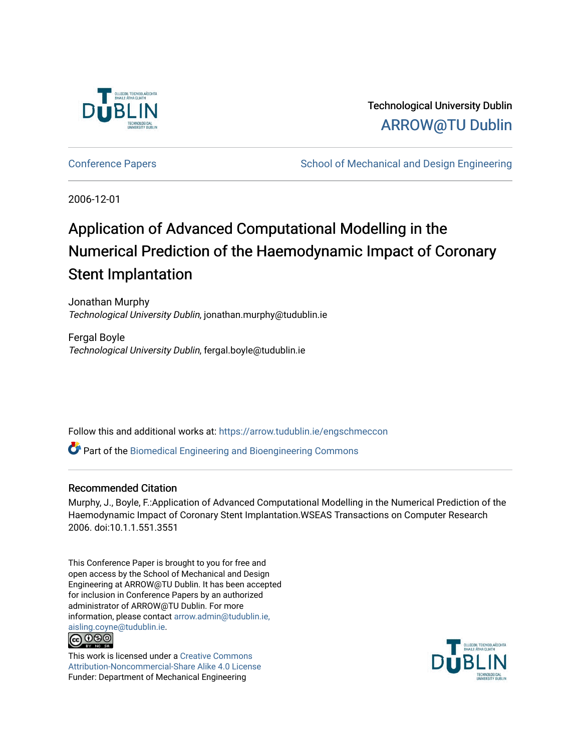

Technological University Dublin [ARROW@TU Dublin](https://arrow.tudublin.ie/) 

[Conference Papers](https://arrow.tudublin.ie/engschmeccon) **School of Mechanical and Design Engineering** School of Mechanical and Design Engineering

2006-12-01

# Application of Advanced Computational Modelling in the Numerical Prediction of the Haemodynamic Impact of Coronary Stent Implantation

Jonathan Murphy Technological University Dublin, jonathan.murphy@tudublin.ie

Fergal Boyle Technological University Dublin, fergal.boyle@tudublin.ie

Follow this and additional works at: [https://arrow.tudublin.ie/engschmeccon](https://arrow.tudublin.ie/engschmeccon?utm_source=arrow.tudublin.ie%2Fengschmeccon%2F25&utm_medium=PDF&utm_campaign=PDFCoverPages) 

Part of the [Biomedical Engineering and Bioengineering Commons](http://network.bepress.com/hgg/discipline/229?utm_source=arrow.tudublin.ie%2Fengschmeccon%2F25&utm_medium=PDF&utm_campaign=PDFCoverPages) 

#### Recommended Citation

Murphy, J., Boyle, F.:Application of Advanced Computational Modelling in the Numerical Prediction of the Haemodynamic Impact of Coronary Stent Implantation.WSEAS Transactions on Computer Research 2006. doi:10.1.1.551.3551

This Conference Paper is brought to you for free and open access by the School of Mechanical and Design Engineering at ARROW@TU Dublin. It has been accepted for inclusion in Conference Papers by an authorized administrator of ARROW@TU Dublin. For more information, please contact [arrow.admin@tudublin.ie,](mailto:arrow.admin@tudublin.ie,%20aisling.coyne@tudublin.ie)  [aisling.coyne@tudublin.ie.](mailto:arrow.admin@tudublin.ie,%20aisling.coyne@tudublin.ie) **@@@** 

This work is licensed under a [Creative Commons](http://creativecommons.org/licenses/by-nc-sa/4.0/) [Attribution-Noncommercial-Share Alike 4.0 License](http://creativecommons.org/licenses/by-nc-sa/4.0/) Funder: Department of Mechanical Engineering

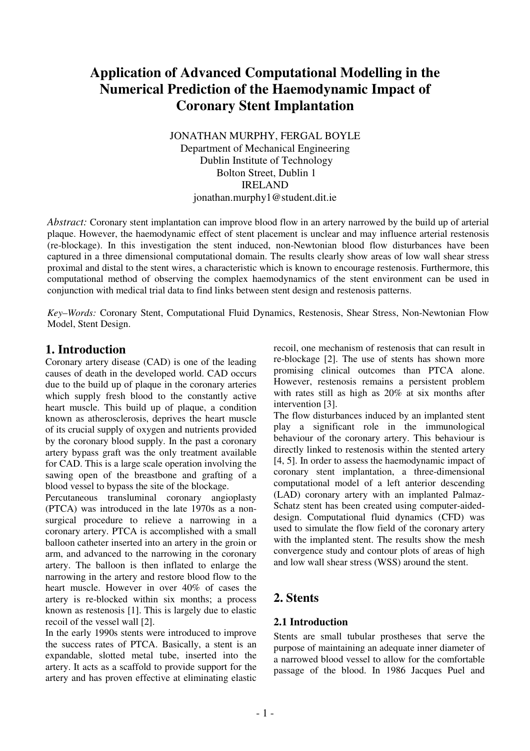## **Application of Advanced Computational Modelling in the Numerical Prediction of the Haemodynamic Impact of Coronary Stent Implantation**

JONATHAN MURPHY, FERGAL BOYLE Department of Mechanical Engineering Dublin Institute of Technology Bolton Street, Dublin 1 IRELAND jonathan.murphy1@student.dit.ie

*Abstract:* Coronary stent implantation can improve blood flow in an artery narrowed by the build up of arterial plaque. However, the haemodynamic effect of stent placement is unclear and may influence arterial restenosis (re-blockage). In this investigation the stent induced, non-Newtonian blood flow disturbances have been captured in a three dimensional computational domain. The results clearly show areas of low wall shear stress proximal and distal to the stent wires, a characteristic which is known to encourage restenosis. Furthermore, this computational method of observing the complex haemodynamics of the stent environment can be used in conjunction with medical trial data to find links between stent design and restenosis patterns.

*Key–Words:* Coronary Stent, Computational Fluid Dynamics, Restenosis, Shear Stress, Non-Newtonian Flow Model, Stent Design.

## **1. Introduction**

Coronary artery disease (CAD) is one of the leading causes of death in the developed world. CAD occurs due to the build up of plaque in the coronary arteries which supply fresh blood to the constantly active heart muscle. This build up of plaque, a condition known as atherosclerosis, deprives the heart muscle of its crucial supply of oxygen and nutrients provided by the coronary blood supply. In the past a coronary artery bypass graft was the only treatment available for CAD. This is a large scale operation involving the sawing open of the breastbone and grafting of a blood vessel to bypass the site of the blockage.

Percutaneous transluminal coronary angioplasty (PTCA) was introduced in the late 1970s as a nonsurgical procedure to relieve a narrowing in a coronary artery. PTCA is accomplished with a small balloon catheter inserted into an artery in the groin or arm, and advanced to the narrowing in the coronary artery. The balloon is then inflated to enlarge the narrowing in the artery and restore blood flow to the heart muscle. However in over 40% of cases the artery is re-blocked within six months; a process known as restenosis [1]. This is largely due to elastic recoil of the vessel wall [2].

In the early 1990s stents were introduced to improve the success rates of PTCA. Basically, a stent is an expandable, slotted metal tube, inserted into the artery. It acts as a scaffold to provide support for the artery and has proven effective at eliminating elastic

recoil, one mechanism of restenosis that can result in re-blockage [2]. The use of stents has shown more promising clinical outcomes than PTCA alone. However, restenosis remains a persistent problem with rates still as high as 20% at six months after intervention [3].

The flow disturbances induced by an implanted stent play a significant role in the immunological behaviour of the coronary artery. This behaviour is directly linked to restenosis within the stented artery [4, 5]. In order to assess the haemodynamic impact of coronary stent implantation, a three-dimensional computational model of a left anterior descending (LAD) coronary artery with an implanted Palmaz-Schatz stent has been created using computer-aideddesign. Computational fluid dynamics (CFD) was used to simulate the flow field of the coronary artery with the implanted stent. The results show the mesh convergence study and contour plots of areas of high and low wall shear stress (WSS) around the stent.

## **2. Stents**

## **2.1 Introduction**

Stents are small tubular prostheses that serve the purpose of maintaining an adequate inner diameter of a narrowed blood vessel to allow for the comfortable passage of the blood. In 1986 Jacques Puel and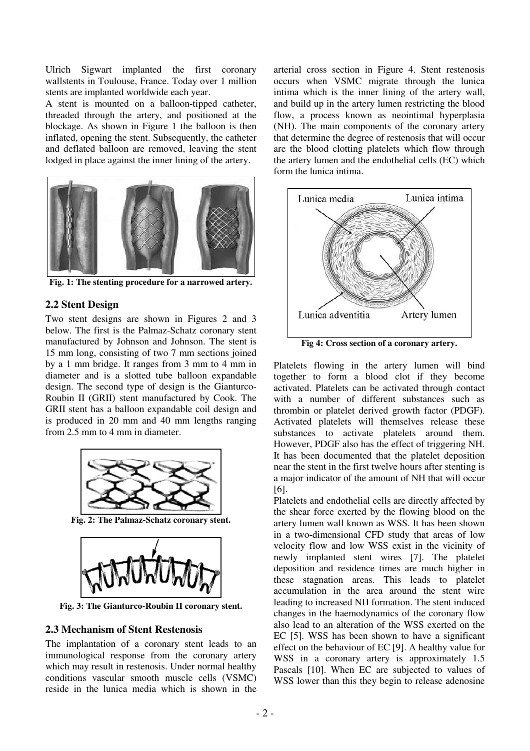Ulrich Sigwart implanted the first coronary wallstents in Toulouse, France. Today over 1 million stents are implanted worldwide each year.

A stent is mounted on a balloon-tipped catheter, threaded through the artery, and positioned at the blockage. As shown in Figure 1 the balloon is then inflated, opening the stent. Subsequently, the catheter and deflated balloon are removed, leaving the stent lodged in place against the inner lining of the artery.



**Fig. 1: The stenting procedure for a narrowed artery.**

#### **2.2 Stent Design**

Two stent designs are shown in Figures 2 and 3 below. The first is the Palmaz-Schatz coronary stent manufactured by Johnson and Johnson. The stent is 15 mm long, consisting of two 7 mm sections joined by a 1 mm bridge. It ranges from 3 mm to 4 mm in diameter and is a slotted tube balloon expandable design. The second type of design is the Gianturco-Roubin II (GRII) stent manufactured by Cook. The GRII stent has a balloon expandable coil design and is produced in 20 mm and 40 mm lengths ranging from 2.5 mm to 4 mm in diameter.



**Fig. 2: The Palmaz-Schatz coronary stent.**



**Fig. 3: The Gianturco-Roubin II coronary stent.**

#### **2.3 Mechanism of Stent Restenosis**

The implantation of a coronary stent leads to an immunological response from the coronary artery which may result in restenosis. Under normal healthy conditions vascular smooth muscle cells (VSMC) reside in the lunica media which is shown in the

arterial cross section in Figure 4. Stent restenosis occurs when VSMC migrate through the lunica intima which is the inner lining of the artery wall, and build up in the artery lumen restricting the blood flow, a process known as neointimal hyperplasia (NH). The main components of the coronary artery that determine the degree of restenosis that will occur are the blood clotting platelets which flow through the artery lumen and the endothelial cells (EC) which form the lunica intima.



Platelets flowing in the artery lumen will bind together to form a blood clot if they become activated. Platelets can be activated through contact with a number of different substances such as thrombin or platelet derived growth factor (PDGF). Activated platelets will themselves release these substances to activate platelets around them. However, PDGF also has the effect of triggering NH. It has been documented that the platelet deposition near the stent in the first twelve hours after stenting is a major indicator of the amount of NH that will occur [6].

Platelets and endothelial cells are directly affected by the shear force exerted by the flowing blood on the artery lumen wall known as WSS. It has been shown in a two-dimensional CFD study that areas of low velocity flow and low WSS exist in the vicinity of newly implanted stent wires [7]. The platelet deposition and residence times are much higher in these stagnation areas. This leads to platelet accumulation in the area around the stent wire leading to increased NH formation. The stent induced changes in the haemodynamics of the coronary flow also lead to an alteration of the WSS exerted on the EC [5]. WSS has been shown to have a significant effect on the behaviour of EC [9]. A healthy value for WSS in a coronary artery is approximately 1.5 Pascals [10]. When EC are subjected to values of WSS lower than this they begin to release adenosine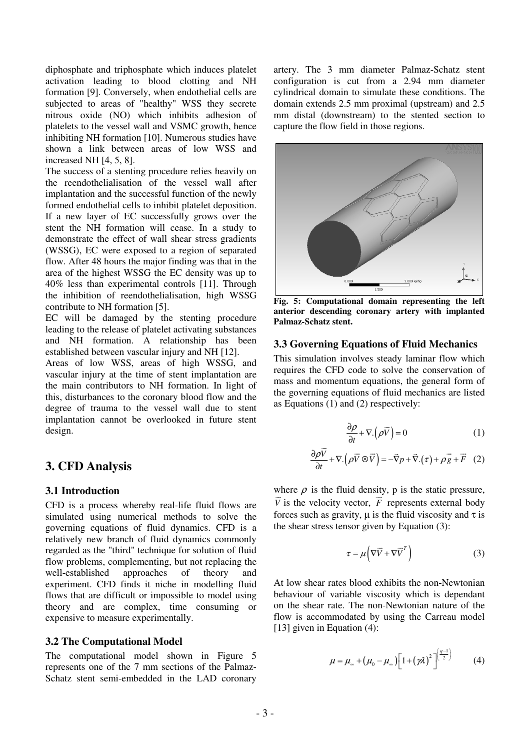diphosphate and triphosphate which induces platelet activation leading to blood clotting and NH formation [9]. Conversely, when endothelial cells are subjected to areas of "healthy" WSS they secrete nitrous oxide (NO) which inhibits adhesion of platelets to the vessel wall and VSMC growth, hence inhibiting NH formation [10]. Numerous studies have shown a link between areas of low WSS and increased NH [4, 5, 8].

The success of a stenting procedure relies heavily on the reendothelialisation of the vessel wall after implantation and the successful function of the newly formed endothelial cells to inhibit platelet deposition. If a new layer of EC successfully grows over the stent the NH formation will cease. In a study to demonstrate the effect of wall shear stress gradients (WSSG), EC were exposed to a region of separated flow. After 48 hours the major finding was that in the area of the highest WSSG the EC density was up to 40% less than experimental controls [11]. Through the inhibition of reendothelialisation, high WSSG contribute to NH formation [5].

EC will be damaged by the stenting procedure leading to the release of platelet activating substances and NH formation. A relationship has been established between vascular injury and NH [12].

Areas of low WSS, areas of high WSSG, and vascular injury at the time of stent implantation are the main contributors to NH formation. In light of this, disturbances to the coronary blood flow and the degree of trauma to the vessel wall due to stent implantation cannot be overlooked in future stent design.

## **3. CFD Analysis**

#### **3.1 Introduction**

CFD is a process whereby real-life fluid flows are simulated using numerical methods to solve the governing equations of fluid dynamics. CFD is a relatively new branch of fluid dynamics commonly regarded as the "third" technique for solution of fluid flow problems, complementing, but not replacing the well-established approaches of theory and experiment. CFD finds it niche in modelling fluid flows that are difficult or impossible to model using theory and are complex, time consuming or expensive to measure experimentally.

#### **3.2 The Computational Model**

The computational model shown in Figure 5 represents one of the 7 mm sections of the Palmaz-Schatz stent semi-embedded in the LAD coronary artery. The 3 mm diameter Palmaz-Schatz stent configuration is cut from a 2.94 mm diameter cylindrical domain to simulate these conditions. The domain extends 2.5 mm proximal (upstream) and 2.5 mm distal (downstream) to the stented section to capture the flow field in those regions.



**Fig. 5: Computational domain representing the left anterior descending coronary artery with implanted Palmaz-Schatz stent.**

#### **3.3 Governing Equations of Fluid Mechanics**

This simulation involves steady laminar flow which requires the CFD code to solve the conservation of mass and momentum equations, the general form of the governing equations of fluid mechanics are listed as Equations (1) and (2) respectively:

$$
\frac{\partial \rho}{\partial t} + \nabla \cdot (\rho \vec{V}) = 0 \tag{1}
$$

$$
\frac{\partial \rho \vec{V}}{\partial t} + \nabla \cdot (\rho \vec{V} \otimes \vec{V}) = -\vec{\nabla} p + \vec{\nabla} \cdot (\tau) + \rho \vec{g} + \vec{F} \quad (2)
$$

where  $\rho$  is the fluid density, p is the static pressure,  $\overrightarrow{V}$  is the velocity vector,  $\overrightarrow{F}$  represents external body forces such as gravity,  $\mu$  is the fluid viscosity and  $\tau$  is the shear stress tensor given by Equation (3):

$$
\tau = \mu \left( \nabla \vec{V} + \nabla \vec{V}^T \right)
$$
 (3)

At low shear rates blood exhibits the non-Newtonian behaviour of variable viscosity which is dependant on the shear rate. The non-Newtonian nature of the flow is accommodated by using the Carreau model [13] given in Equation (4):

$$
\mu = \mu_{\infty} + (\mu_0 - \mu_{\infty}) \left[ 1 + (\gamma \lambda)^2 \right]^{\left( \frac{q-1}{2} \right)} \tag{4}
$$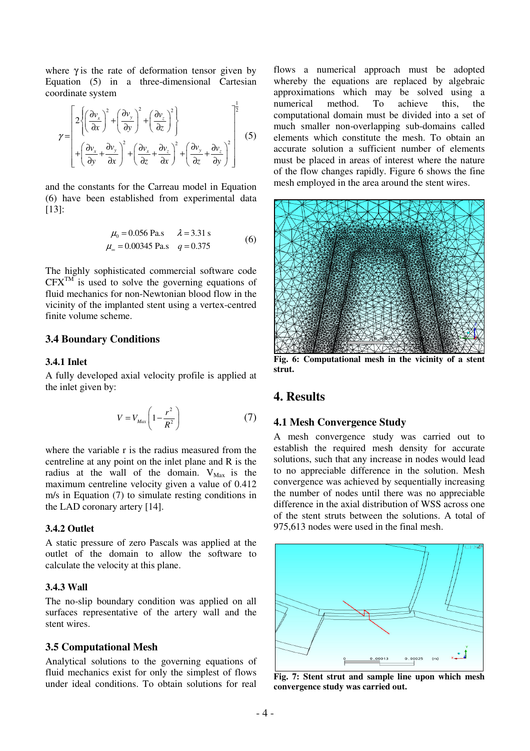where  $\gamma$  is the rate of deformation tensor given by Equation (5) in a three-dimensional Cartesian coordinate system

$$
\gamma = \begin{bmatrix} 2\left\{\left(\frac{\partial v_x}{\partial x}\right)^2 + \left(\frac{\partial v_y}{\partial y}\right)^2 + \left(\frac{\partial v_z}{\partial z}\right)^2\right\} \\ + \left(\frac{\partial v_x}{\partial y} + \frac{\partial v_y}{\partial x}\right)^2 + \left(\frac{\partial v_x}{\partial z} + \frac{\partial v_z}{\partial x}\right)^2 + \left(\frac{\partial v_y}{\partial z} + \frac{\partial v_z}{\partial y}\right)^2 \end{bmatrix}^{-\frac{1}{2}} \quad (5)
$$

and the constants for the Carreau model in Equation (6) have been established from experimental data [13]:

$$
\mu_0 = 0.056 \text{ Pa.s} \qquad \lambda = 3.31 \text{ s}
$$
  

$$
\mu_\infty = 0.00345 \text{ Pa.s} \qquad q = 0.375 \tag{6}
$$

The highly sophisticated commercial software code  $CFX^{TM}$  is used to solve the governing equations of fluid mechanics for non-Newtonian blood flow in the vicinity of the implanted stent using a vertex-centred finite volume scheme.

#### **3.4 Boundary Conditions**

#### **3.4.1 Inlet**

A fully developed axial velocity profile is applied at the inlet given by:

$$
V = V_{Max} \left( 1 - \frac{r^2}{R^2} \right) \tag{7}
$$

where the variable r is the radius measured from the centreline at any point on the inlet plane and R is the radius at the wall of the domain.  $V_{\text{Max}}$  is the maximum centreline velocity given a value of 0.412 m/s in Equation (7) to simulate resting conditions in the LAD coronary artery [14].

#### **3.4.2 Outlet**

A static pressure of zero Pascals was applied at the outlet of the domain to allow the software to calculate the velocity at this plane.

#### **3.4.3 Wall**

The no-slip boundary condition was applied on all surfaces representative of the artery wall and the stent wires.

#### **3.5 Computational Mesh**

Analytical solutions to the governing equations of fluid mechanics exist for only the simplest of flows under ideal conditions. To obtain solutions for real

flows a numerical approach must be adopted whereby the equations are replaced by algebraic approximations which may be solved using a numerical method. To achieve this, the computational domain must be divided into a set of much smaller non-overlapping sub-domains called elements which constitute the mesh. To obtain an accurate solution a sufficient number of elements must be placed in areas of interest where the nature of the flow changes rapidly. Figure 6 shows the fine mesh employed in the area around the stent wires.



**Fig. 6: Computational mesh in the vicinity of a stent strut.**

## **4. Results**

#### **4.1 Mesh Convergence Study**

A mesh convergence study was carried out to establish the required mesh density for accurate solutions, such that any increase in nodes would lead to no appreciable difference in the solution. Mesh convergence was achieved by sequentially increasing the number of nodes until there was no appreciable difference in the axial distribution of WSS across one of the stent struts between the solutions. A total of 975,613 nodes were used in the final mesh.



**Fig. 7: Stent strut and sample line upon which mesh convergence study was carried out.**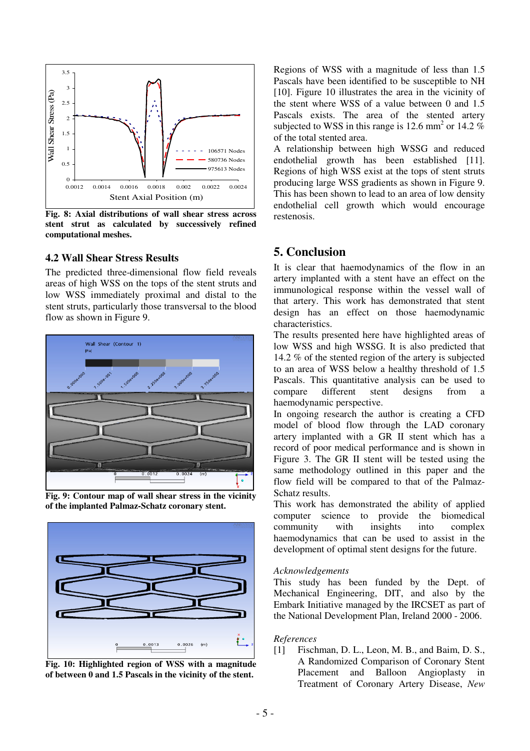

**Fig. 8: Axial distributions of wall shear stress across stent strut as calculated by successively refined computational meshes.**

#### **4.2 Wall Shear Stress Results**

The predicted three-dimensional flow field reveals areas of high WSS on the tops of the stent struts and low WSS immediately proximal and distal to the stent struts, particularly those transversal to the blood flow as shown in Figure 9.



**Fig. 9: Contour map of wall shear stress in the vicinity of the implanted Palmaz-Schatz coronary stent.**



**Fig. 10: Highlighted region of WSS with a magnitude of between 0 and 1.5 Pascals in the vicinity of the stent.**

Regions of WSS with a magnitude of less than 1.5 Pascals have been identified to be susceptible to NH [10]. Figure 10 illustrates the area in the vicinity of the stent where WSS of a value between 0 and 1.5 Pascals exists. The area of the stented artery subjected to WSS in this range is 12.6 mm<sup>2</sup> or 14.2  $%$ of the total stented area.

A relationship between high WSSG and reduced endothelial growth has been established [11]. Regions of high WSS exist at the tops of stent struts producing large WSS gradients as shown in Figure 9. This has been shown to lead to an area of low density endothelial cell growth which would encourage restenosis.

## **5. Conclusion**

It is clear that haemodynamics of the flow in an artery implanted with a stent have an effect on the immunological response within the vessel wall of that artery. This work has demonstrated that stent design has an effect on those haemodynamic characteristics.

The results presented here have highlighted areas of low WSS and high WSSG. It is also predicted that 14.2 % of the stented region of the artery is subjected to an area of WSS below a healthy threshold of 1.5 Pascals. This quantitative analysis can be used to compare different stent designs from a haemodynamic perspective.

In ongoing research the author is creating a CFD model of blood flow through the LAD coronary artery implanted with a GR II stent which has a record of poor medical performance and is shown in Figure 3. The GR II stent will be tested using the same methodology outlined in this paper and the flow field will be compared to that of the Palmaz-Schatz results.

This work has demonstrated the ability of applied computer science to provide the biomedical community with insights into complex haemodynamics that can be used to assist in the development of optimal stent designs for the future.

#### *Acknowledgements*

This study has been funded by the Dept. of Mechanical Engineering, DIT, and also by the Embark Initiative managed by the IRCSET as part of the National Development Plan, Ireland 2000 - 2006.

#### *References*

[1] Fischman, D. L., Leon, M. B., and Baim, D. S., A Randomized Comparison of Coronary Stent Placement and Balloon Angioplasty in Treatment of Coronary Artery Disease, *New*